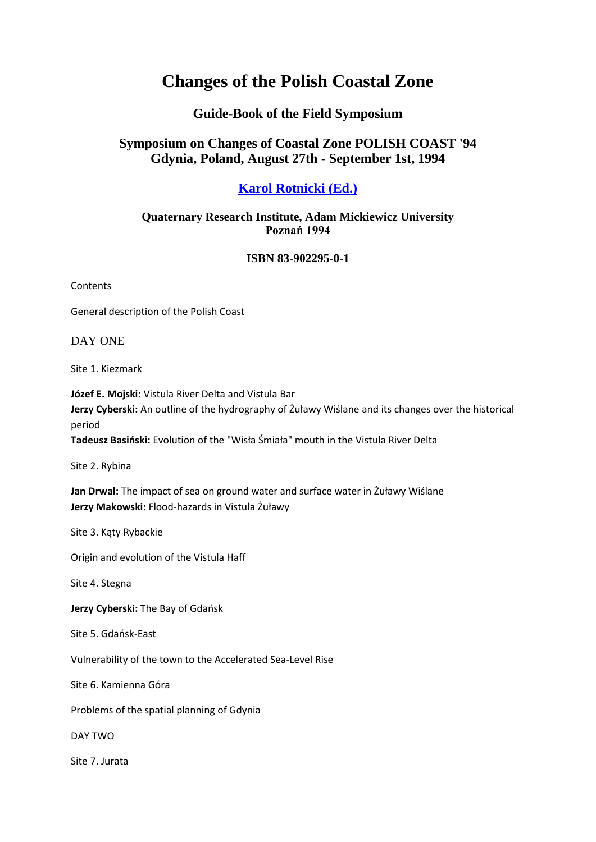# **Changes of the Polish Coastal Zone**

## **Guide-Book of the Field Symposium**

## **Symposium on Changes of Coastal Zone POLISH COAST '94 Gdynia, Poland, August 27th - September 1st, 1994**

# **[Karol Rotnicki \(Ed.\)](mailto:rotnicki@amu.edu.pl)**

### **Quaternary Research Institute, Adam Mickiewicz University Poznań 1994**

#### **ISBN 83-902295-0-1**

Contents

General description of the Polish Coast

DAY ONE

Site 1. Kiezmark

**Józef E. Mojski:** Vistula River Delta and Vistula Bar **Jerzy Cyberski:** An outline of the hydrography of Żuławy Wiślane and its changes over the historical period

**Tadeusz Basiński:** Evolution of the "Wisła Śmiała" mouth in the Vistula River Delta

Site 2. Rybina

**Jan Drwal:** The impact of sea on ground water and surface water in Żuławy Wiślane **Jerzy Makowski:** Flood-hazards in Vistula Żuławy

Site 3. Kąty Rybackie

Origin and evolution of the Vistula Haff

Site 4. Stegna

**Jerzy Cyberski:** The Bay of Gdańsk

Site 5. Gdańsk-East

Vulnerability of the town to the Accelerated Sea-Level Rise

Site 6. Kamienna Góra

Problems of the spatial planning of Gdynia

DAY TWO

Site 7. Jurata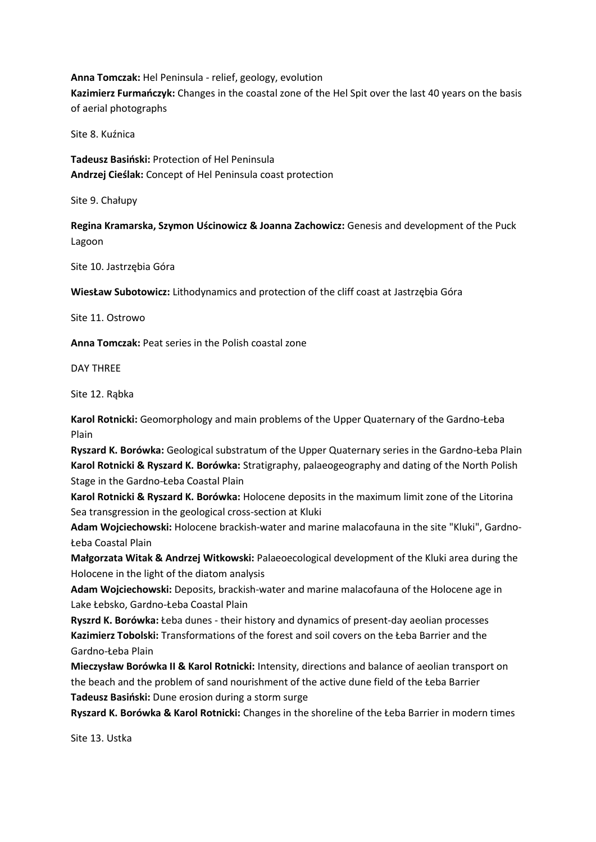**Anna Tomczak:** Hel Peninsula - relief, geology, evolution **Kazimierz Furmańczyk:** Changes in the coastal zone of the Hel Spit over the last 40 years on the basis

of aerial photographs

Site 8. Kuźnica

**Tadeusz Basiński:** Protection of Hel Peninsula **Andrzej Cieślak:** Concept of Hel Peninsula coast protection

Site 9. Chałupy

**Regina Kramarska, Szymon Uścinowicz & Joanna Zachowicz:** Genesis and development of the Puck Lagoon

Site 10. Jastrzębia Góra

**WiesŁaw Subotowicz:** Lithodynamics and protection of the cliff coast at Jastrzębia Góra

Site 11. Ostrowo

**Anna Tomczak:** Peat series in the Polish coastal zone

DAY THREE

Site 12. Rąbka

**Karol Rotnicki:** Geomorphology and main problems of the Upper Quaternary of the Gardno-Łeba Plain

**Ryszard K. Borówka:** Geological substratum of the Upper Quaternary series in the Gardno-Łeba Plain **Karol Rotnicki & Ryszard K. Borówka:** Stratigraphy, palaeogeography and dating of the North Polish Stage in the Gardno-Łeba Coastal Plain

**Karol Rotnicki & Ryszard K. Borówka:** Holocene deposits in the maximum limit zone of the Litorina Sea transgression in the geological cross-section at Kluki

**Adam Wojciechowski:** Holocene brackish-water and marine malacofauna in the site "Kluki", Gardno-Łeba Coastal Plain

**Małgorzata Witak & Andrzej Witkowski:** Palaeoecological development of the Kluki area during the Holocene in the light of the diatom analysis

**Adam Wojciechowski:** Deposits, brackish-water and marine malacofauna of the Holocene age in Lake Łebsko, Gardno-Łeba Coastal Plain

**Ryszrd K. Borówka:** Łeba dunes - their history and dynamics of present-day aeolian processes **Kazimierz Tobolski:** Transformations of the forest and soil covers on the Łeba Barrier and the Gardno-Łeba Plain

**Mieczysław Borówka II & Karol Rotnicki:** Intensity, directions and balance of aeolian transport on the beach and the problem of sand nourishment of the active dune field of the Łeba Barrier **Tadeusz Basiński:** Dune erosion during a storm surge

**Ryszard K. Borówka & Karol Rotnicki:** Changes in the shoreline of the Łeba Barrier in modern times

Site 13. Ustka